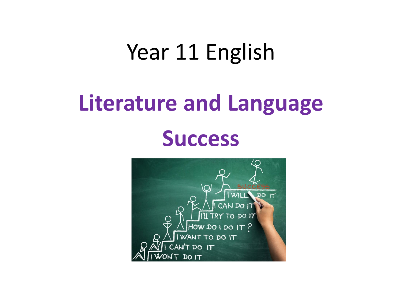### Year 11 English

## **Literature and Language Success**

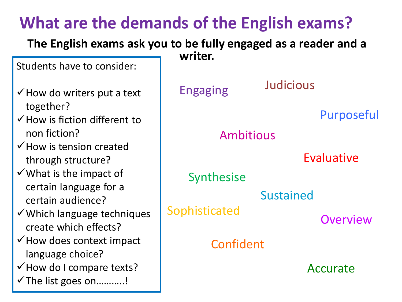### **What are the demands of the English exams?**

#### **The English exams ask you to be fully engaged as a reader and a writer.**

Students have to consider:

- $\checkmark$  How do writers put a text together?
- $\checkmark$  How is fiction different to non fiction?
- $\checkmark$  How is tension created through structure?
- $\checkmark$  What is the impact of certain language for a certain audience?
- $\checkmark$  Which language techniques create which effects?
- $\checkmark$  How does context impact language choice?
- $\checkmark$  How do I compare texts?
- $\checkmark$  The list goes on...........!

| <b>Engaging</b> | Judicious        |  |  |  |
|-----------------|------------------|--|--|--|
|                 | Purposeful       |  |  |  |
| Ambitious       |                  |  |  |  |
|                 | Evaluative       |  |  |  |
| Synthesise      |                  |  |  |  |
|                 | <b>Sustained</b> |  |  |  |
| Sophisticated   | Overview         |  |  |  |
| Confident       |                  |  |  |  |
|                 | Accurate         |  |  |  |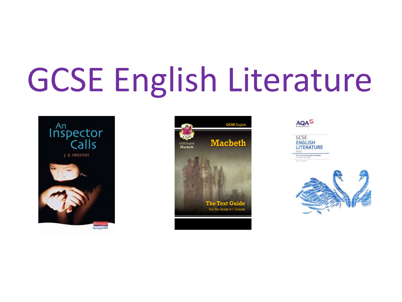# GCSE English Literature







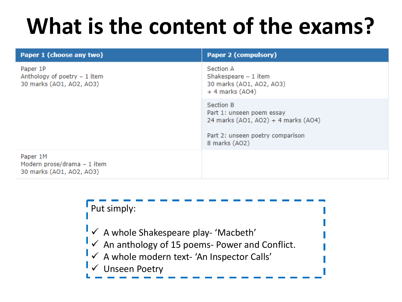## **What is the content of the exams?**

| Paper 1 (choose any two)                                             | <b>Paper 2 (compulsory)</b>                                                                                                        |  |
|----------------------------------------------------------------------|------------------------------------------------------------------------------------------------------------------------------------|--|
| Paper 1P<br>Anthology of poetry - 1 item<br>30 marks (AO1, AO2, AO3) | Section A<br>Shakespeare - 1 item<br>30 marks (AO1, AO2, AO3)<br>$+4$ marks (AO4)                                                  |  |
|                                                                      | Section B<br>Part 1: unseen poem essay<br>24 marks (AO1, AO2) + 4 marks (AO4)<br>Part 2: unseen poetry comparison<br>8 marks (AO2) |  |
| Paper 1M<br>Modern prose/drama - 1 item<br>30 marks (AO1, AO2, AO3)  |                                                                                                                                    |  |

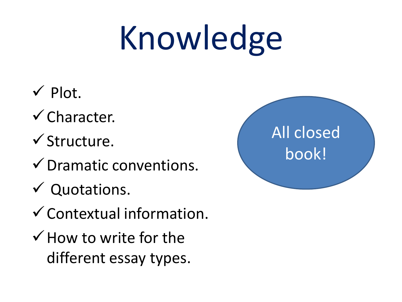# Knowledge

- $\sqrt{P}$ lot.
- $\checkmark$  Character.
- $\checkmark$  Structure.
- $\checkmark$  Dramatic conventions.
- Quotations.
- $\checkmark$  Contextual information.
- $\checkmark$  How to write for the different essay types.

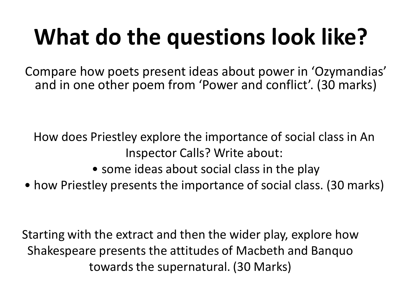## **What do the questions look like?**

Compare how poets present ideas about power in 'Ozymandias' and in one other poem from 'Power and conflict'. (30 marks)

How does Priestley explore the importance of social class in An Inspector Calls? Write about:

- some ideas about social class in the play
- how Priestley presents the importance of social class. (30 marks)

Starting with the extract and then the wider play, explore how Shakespeare presents the attitudes of Macbeth and Banquo towards the supernatural. (30 Marks)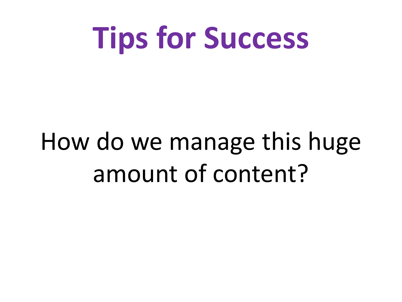# **Tips for Success**

## How do we manage this huge amount of content?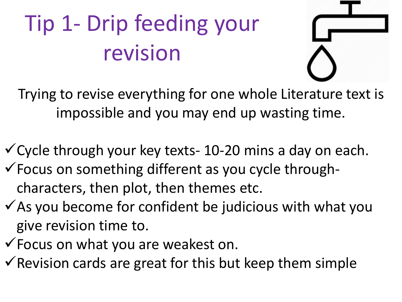## Tip 1- Drip feeding your revision



Trying to revise everything for one whole Literature text is impossible and you may end up wasting time.

- $\checkmark$  Cycle through your key texts- 10-20 mins a day on each.  $\checkmark$  Focus on something different as you cycle throughcharacters, then plot, then themes etc.
- $\checkmark$  As you become for confident be judicious with what you give revision time to.
- $\checkmark$  Focus on what you are weakest on.
- $\checkmark$  Revision cards are great for this but keep them simple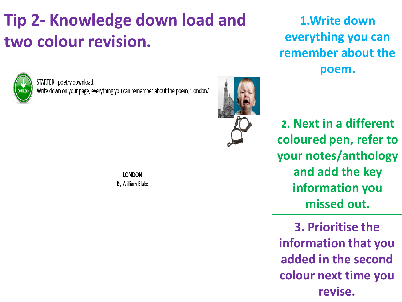### **Tip 2- Knowledge down load and two colour revision.**



STARTER: poetry download... Write down on your page, everything you can remember about the poem, 'London.'



**1.Write down everything you can remember about the poem.**

**2. Next in a different coloured pen, refer to your notes/anthology and add the key information you missed out.**

**3. Prioritise the information that you added in the second colour next time you revise.**

**LONDON** By William Blake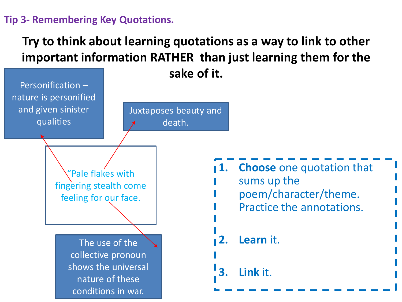#### **Tip 3- Remembering Key Quotations.**

### **Try to think about learning quotations as a way to link to other important information RATHER than just learning them for the**

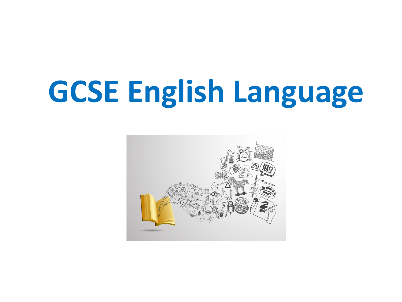# **GCSE English Language**

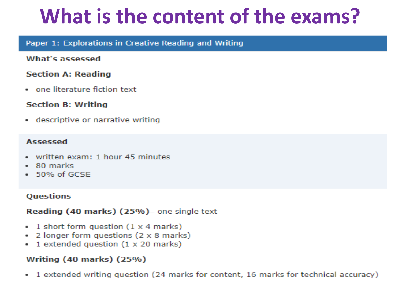### **What is the content of the exams?**

Paper 1: Explorations in Creative Reading and Writing

#### What's assessed

#### **Section A: Reading**

• one literature fiction text

#### **Section B: Writing**

• descriptive or narrative writing

#### Assessed

- . written exam: 1 hour 45 minutes
- -80 marks
- 50% of GCSE

#### Questions

#### Reading (40 marks) (25%) – one single text

- 1 short form question  $(1 \times 4 \text{ marks})$
- 2 longer form questions (2 x 8 marks)
- $\cdot$  1 extended question (1 x 20 marks)

#### Writing (40 marks) (25%)

• 1 extended writing question (24 marks for content, 16 marks for technical accuracy)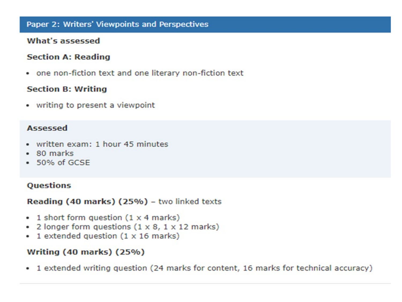#### Paper 2: Writers' Viewpoints and Perspectives

#### What's assessed

#### **Section A: Reading**

• one non-fiction text and one literary non-fiction text

#### **Section B: Writing**

• writing to present a viewpoint

#### **Assessed**

- written exam: 1 hour 45 minutes
- 80 marks
- $-50\%$  of GCSE

#### **Questions**

#### Reading (40 marks) (25%) - two linked texts

- 1 short form question  $(1 \times 4$  marks)
- 2 longer form questions  $(1 \times 8, 1 \times 12 \text{ marks})$
- 1 extended question  $(1 \times 16 \text{ marks})$

#### **Writing (40 marks) (25%)**

• 1 extended writing question (24 marks for content, 16 marks for technical accuracy)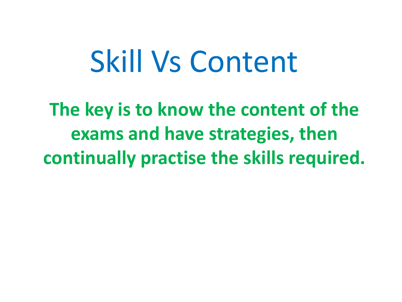## Skill Vs Content

**The key is to know the content of the exams and have strategies, then continually practise the skills required.**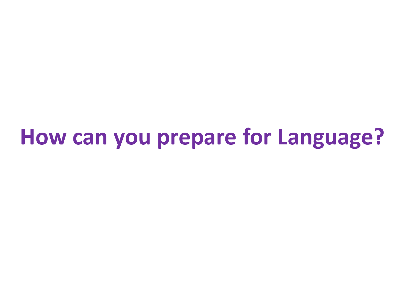## **How can you prepare for Language?**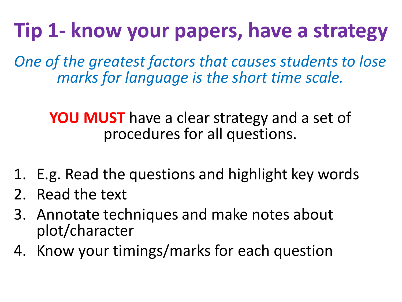## **Tip 1- know your papers, have a strategy**

*One of the greatest factors that causes students to lose marks for language is the short time scale.*

### **YOU MUST** have a clear strategy and a set of procedures for all questions.

- 1. E.g. Read the questions and highlight key words
- 2. Read the text
- 3. Annotate techniques and make notes about plot/character
- 4. Know your timings/marks for each question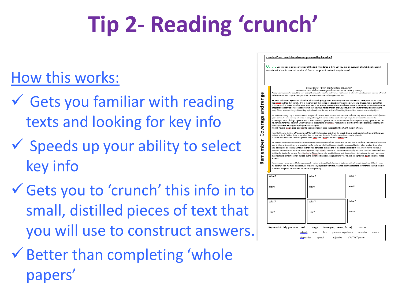## **Tip 2- Reading 'crunch'**

### How this works:

- $\checkmark$  Gets you familiar with reading texts and looking for key info
- $\checkmark$  Speeds up your ability to select key info
- Gets you to 'crunch' this info in to small, distilled pieces of text that you will use to construct answers.
- $\checkmark$  Better than completing 'whole papers'



| How?                              |            | How?   |       |                               | How?                          |          |        |
|-----------------------------------|------------|--------|-------|-------------------------------|-------------------------------|----------|--------|
| Key words to help you focus: verb |            | image  |       | tense (past, present, future) |                               | contrast |        |
|                                   | adverb     | tone   | lists | personal experience           |                               | emotive  | sounds |
|                                   | the reader | speech |       | adiective                     | $1^{it}/2^{nd}/3^{rd}$ person |          |        |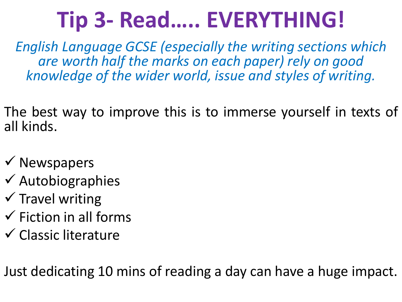## **Tip 3- Read….. EVERYTHING!**

*English Language GCSE (especially the writing sections which are worth half the marks on each paper) rely on good knowledge of the wider world, issue and styles of writing.*

The best way to improve this is to immerse yourself in texts of all kinds.

- $\checkmark$  Newspapers
- $\checkmark$  Autobiographies
- $\checkmark$  Travel writing
- $\checkmark$  Fiction in all forms
- $\checkmark$  Classic literature

Just dedicating 10 mins of reading a day can have a huge impact.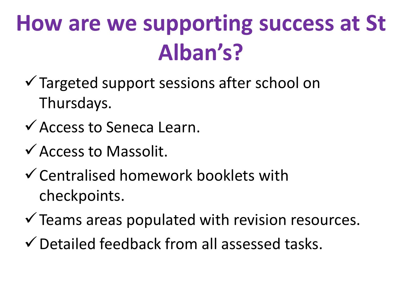## **How are we supporting success at St Alban's?**

- $\checkmark$  Targeted support sessions after school on Thursdays.
- Access to Seneca Learn.
- $\checkmark$  Access to Massolit.
- $\checkmark$  Centralised homework booklets with checkpoints.
- $\checkmark$  Teams areas populated with revision resources.
- Detailed feedback from all assessed tasks.